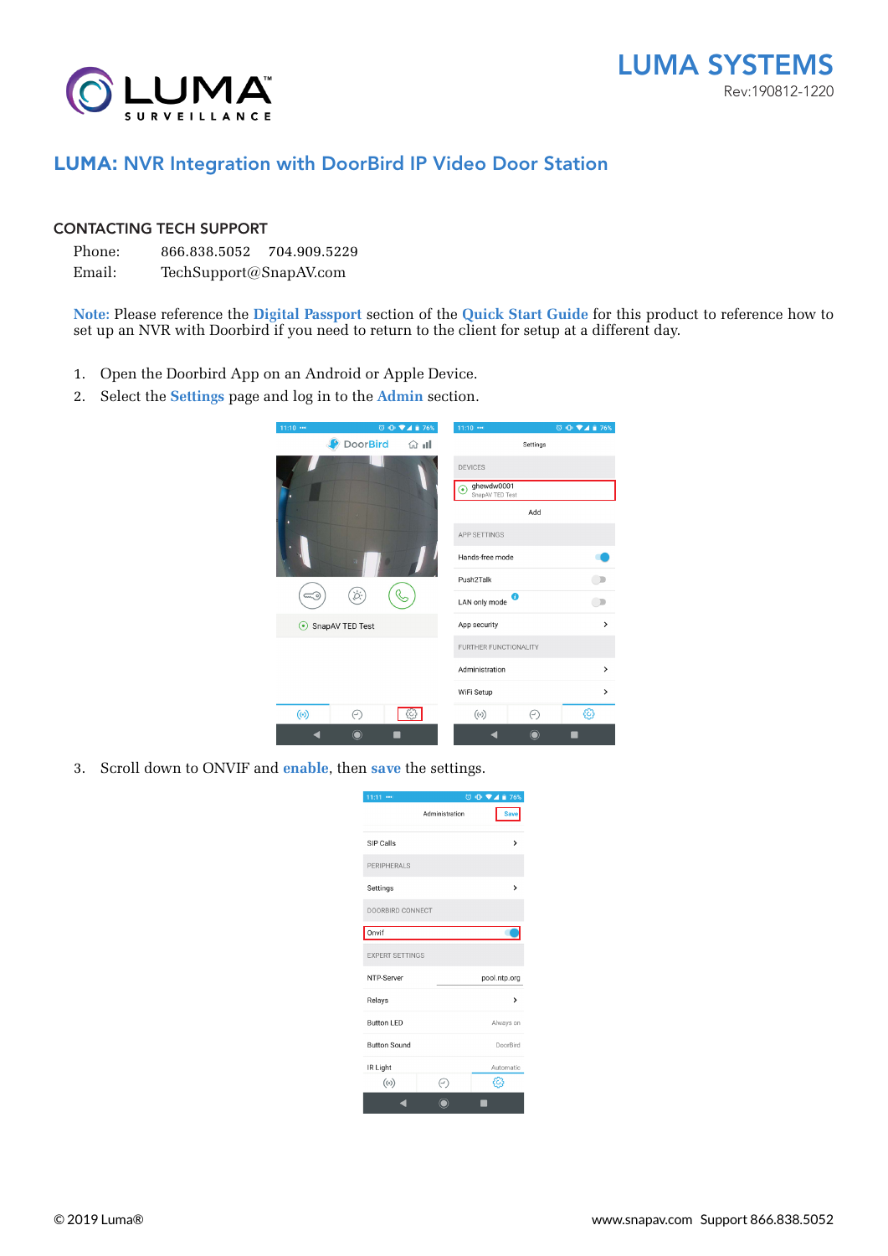



## **LUMA:** NVR Integration with DoorBird IP Video Door Station

## CONTACTING TECH SUPPORT

Phone: 866.838.5052 704.909.5229

Email: TechSupport@SnapAV.com

**Note:** Please reference the **Digital Passport** section of the **Quick Start Guide** for this product to reference how to set up an NVR with Doorbird if you need to return to the client for setup at a different day.

- 1. Open the Doorbird App on an Android or Apple Device.
- 2. Select the **Settings** page and log in to the **Admin** section.

| 11:10                      |                 |        | $11:10$ $$                         |             | © <b>ID ♥⊿ ■ 76%</b> |  |  |  |
|----------------------------|-----------------|--------|------------------------------------|-------------|----------------------|--|--|--|
|                            | <b>DoorBird</b> | ਂ 1ਮ ਅ |                                    | Settings    |                      |  |  |  |
|                            |                 |        | <b>DEVICES</b>                     |             |                      |  |  |  |
|                            |                 |        | ghewdw0001<br>٠<br>SnapAV TED Test |             |                      |  |  |  |
|                            |                 |        | Add                                |             |                      |  |  |  |
|                            |                 |        | APP SETTINGS                       |             |                      |  |  |  |
|                            |                 |        | Hands-free mode                    |             |                      |  |  |  |
|                            |                 |        | Push <sub>2</sub> Talk             |             |                      |  |  |  |
|                            |                 |        | LAN only mode                      | 0           |                      |  |  |  |
| SnapAV TED Test<br>$\odot$ |                 |        | App security                       |             | >                    |  |  |  |
|                            |                 |        | FURTHER FUNCTIONALITY              |             |                      |  |  |  |
|                            |                 |        | Administration                     |             | >                    |  |  |  |
|                            |                 |        | WiFi Setup                         |             | >                    |  |  |  |
| $(\odot)$                  | ⊝               | ట      | $(\cdot)$                          | ⊝           | €                    |  |  |  |
|                            |                 |        |                                    | $\mathbf O$ |                      |  |  |  |

3. Scroll down to ONVIF and **enable**, then **save** the settings.

| 11:11<br>              |                | © 10 ♥▲■ 76% |  |  |  |  |
|------------------------|----------------|--------------|--|--|--|--|
|                        | Administration | <b>Save</b>  |  |  |  |  |
| SIP Calls              |                | >            |  |  |  |  |
| PERIPHERALS            |                |              |  |  |  |  |
| Settings               |                | >            |  |  |  |  |
| DOORBIRD CONNECT       |                |              |  |  |  |  |
| Onvif                  |                |              |  |  |  |  |
| <b>EXPERT SETTINGS</b> |                |              |  |  |  |  |
| NTP-Server             |                | pool.ntp.org |  |  |  |  |
| Relays                 |                | >            |  |  |  |  |
| <b>Button LED</b>      |                | Always on    |  |  |  |  |
| <b>Button Sound</b>    |                | DoorBird     |  |  |  |  |
| IR Light               |                | Automatic    |  |  |  |  |
| $(\cdot)$              | $_{(\cdot)}$   |              |  |  |  |  |
|                        |                |              |  |  |  |  |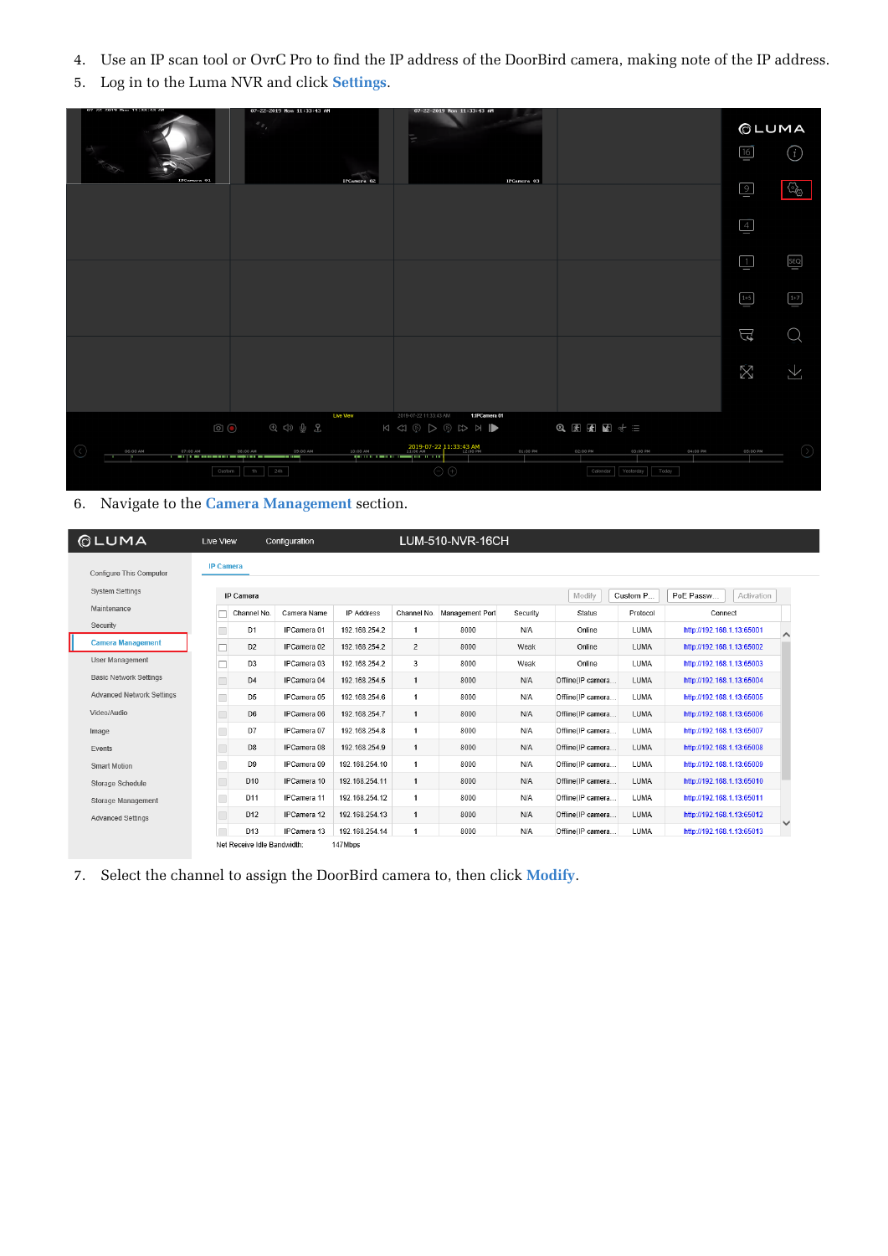- 4. Use an IP scan tool or OvrC Pro to find the IP address of the DoorBird camera, making note of the IP address.
- 5. Log in to the Luma NVR and click **Settings**.



## 6. Navigate to the **Camera Management** section.

| <b>OLUMA</b>                  | Live View                   | Configuration      |                |                      | LUM-510-NVR-16CH |          |                   |          |                           |              |
|-------------------------------|-----------------------------|--------------------|----------------|----------------------|------------------|----------|-------------------|----------|---------------------------|--------------|
| Configure This Computer       | <b>IP Camera</b>            |                    |                |                      |                  |          |                   |          |                           |              |
| <b>System Settings</b>        | IP Camera                   |                    |                |                      |                  |          | Modify            | Custom P | PoE Passw<br>Activation   |              |
| Maintenance                   | Channel No.                 | Camera Name        | IP Address     | Channel No.          | Management Port  | Security | <b>Status</b>     | Protocol | Connect                   |              |
| Security                      | D <sub>1</sub>              | IPCamera 01        | 192.168.254.2  | $\blacktriangleleft$ | 8000             | N/A      | Online            | LUMA     | http://192.168.1.13:65001 |              |
| <b>Camera Management</b>      | D <sub>2</sub>              | IPCamera 02        | 192.168.254.2  | $\overline{2}$       | 8000             | Weak     | Online            | LUMA     | http://192.168.1.13:65002 |              |
| User Management               | D <sub>3</sub>              | IPCamera 03        | 192.168.254.2  | 3                    | 8000             | Weak     | Online            | LUMA     | http://192.168.1.13:65003 |              |
| <b>Basic Network Settings</b> | D <sub>4</sub>              | IPCamera 04        | 192.168.254.5  | $\mathbf{1}$         | 8000             | N/A      | Offline(IP camera | LUMA     | http://192.168.1.13:65004 |              |
| Advanced Network Settings     | D <sub>5</sub>              | IPCamera 05        | 192.168.254.6  | $\mathbf{1}$         | 8000             | N/A      | Offline(IP camera | LUMA     | http://192.168.1.13:65005 |              |
| Video/Audio                   | D <sub>6</sub>              | IPCamera 06        | 192.168.254.7  | $\mathbf{1}$         | 8000             | N/A      | Offline(IP camera | LUMA     | http://192.168.1.13:65006 |              |
| Image                         | D7                          | IPCamera 07        | 192.168.254.8  | $\mathbf{1}$         | 8000             | N/A      | Offline(IP camera | LUMA     | http://192.168.1.13:65007 |              |
| Events                        | D <sub>8</sub>              | IPCamera 08        | 192.168.254.9  | 1                    | 8000             | N/A      | Offline(IP camera | LUMA     | http://192.168.1.13:65008 |              |
| <b>Smart Motion</b>           | D <sub>9</sub>              | IPCamera 09        | 192.168.254.10 | $\mathbf{1}$         | 8000             | N/A      | Offline(IP camera | LUMA     | http://192.168.1.13:65009 |              |
| <b>Storage Schedule</b>       | D <sub>10</sub>             | IPCamera 10        | 192.168.254.11 | $\mathbf{1}$         | 8000             | N/A      | Offline(IP camera | LUMA     | http://192.168.1.13:65010 |              |
| Storage Management            | D11                         | <b>IPCamera 11</b> | 192.168.254.12 | $\mathbf{1}$         | 8000             | N/A      | Offline(IP camera | LUMA     | http://192.168.1.13:65011 |              |
| <b>Advanced Settings</b>      | D <sub>12</sub>             | <b>IPCamera 12</b> | 192.168.254.13 | $\mathbf{1}$         | 8000             | N/A      | Offline(IP camera | LUMA     | http://192.168.1.13:65012 | $\checkmark$ |
|                               | D <sub>13</sub>             | IPCamera 13        | 192.168.254.14 | $\mathbf{1}$         | 8000             | N/A      | Offline(IP camera | LUMA     | http://192.168.1.13:65013 |              |
|                               | Net Receive Idle Bandwidth: |                    | 147Mbps        |                      |                  |          |                   |          |                           |              |

7. Select the channel to assign the DoorBird camera to, then click **Modify**.